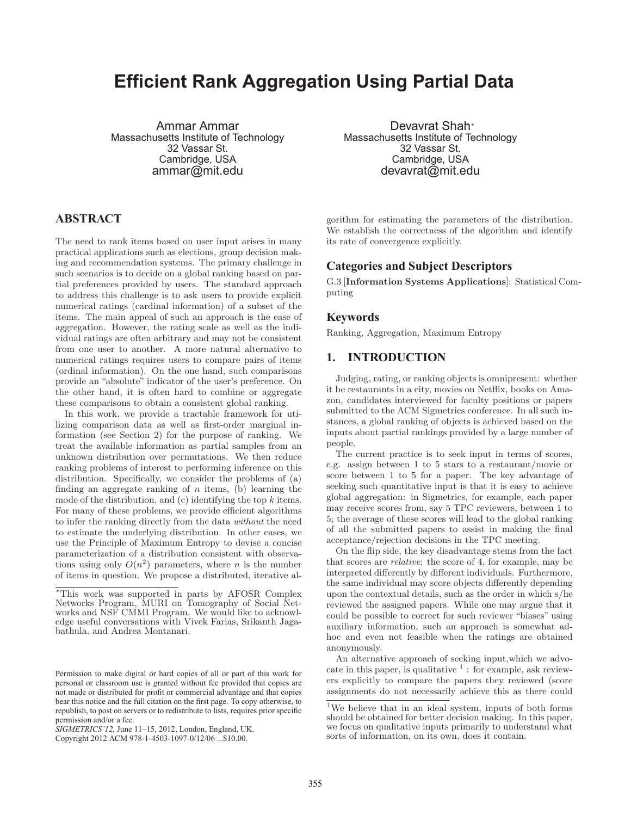# **Efficient Rank Aggregation Using Partial Data**

Ammar Ammar Massachusetts Institute of Technology 32 Vassar St. Cambridge, USA ammar@mit.edu

## **ABSTRACT**

The need to rank items based on user input arises in many practical applications such as elections, group decision making and recommendation systems. The primary challenge in such scenarios is to decide on a global ranking based on partial preferences provided by users. The standard approach to address this challenge is to ask users to provide explicit numerical ratings (cardinal information) of a subset of the items. The main appeal of such an approach is the ease of aggregation. However, the rating scale as well as the individual ratings are often arbitrary and may not be consistent from one user to another. A more natural alternative to numerical ratings requires users to compare pairs of items (ordinal information). On the one hand, such comparisons provide an "absolute" indicator of the user's preference. On the other hand, it is often hard to combine or aggregate these comparisons to obtain a consistent global ranking.

In this work, we provide a tractable framework for utilizing comparison data as well as first-order marginal information (see Section 2) for the purpose of ranking. We treat the available information as partial samples from an unknown distribution over permutations. We then reduce ranking problems of interest to performing inference on this distribution. Specifically, we consider the problems of (a) finding an aggregate ranking of  $n$  items, (b) learning the mode of the distribution, and  $(c)$  identifying the top k items. For many of these problems, we provide efficient algorithms to infer the ranking directly from the data without the need to estimate the underlying distribution. In other cases, we use the Principle of Maximum Entropy to devise a concise parameterization of a distribution consistent with observations using only  $O(n^2)$  parameters, where *n* is the number of items in question. We propose a distributed, iterative al-

Devavrat Shah<sup>∗</sup> Massachusetts Institute of Technology 32 Vassar St. Cambridge, USA devavrat@mit.edu

gorithm for estimating the parameters of the distribution. We establish the correctness of the algorithm and identify its rate of convergence explicitly.

## **Categories and Subject Descriptors**

G.3 [**Information Systems Applications**]: Statistical Computing

### **Keywords**

Ranking, Aggregation, Maximum Entropy

## **1. INTRODUCTION**

Judging, rating, or ranking objects is omnipresent: whether it be restaurants in a city, movies on Netflix, books on Amazon, candidates interviewed for faculty positions or papers submitted to the ACM Sigmetrics conference. In all such instances, a global ranking of objects is achieved based on the inputs about partial rankings provided by a large number of people.

The current practice is to seek input in terms of scores, e.g. assign between 1 to 5 stars to a restaurant/movie or score between 1 to 5 for a paper. The key advantage of seeking such quantitative input is that it is easy to achieve global aggregation: in Sigmetrics, for example, each paper may receive scores from, say 5 TPC reviewers, between 1 to 5; the average of these scores will lead to the global ranking of all the submitted papers to assist in making the final acceptance/rejection decisions in the TPC meeting.

On the flip side, the key disadvantage stems from the fact that scores are relative: the score of 4, for example, may be interpreted differently by different individuals. Furthermore, the same individual may score objects differently depending upon the contextual details, such as the order in which s/he reviewed the assigned papers. While one may argue that it could be possible to correct for such reviewer "biases" using auxiliary information, such an approach is somewhat adhoc and even not feasible when the ratings are obtained anonymously.

An alternative approach of seeking input,which we advocate in this paper, is qualitative  $<sup>1</sup>$ : for example, ask review-</sup> ers explicitly to compare the papers they reviewed (score assignments do not necessarily achieve this as there could

<sup>∗</sup>This work was supported in parts by AFOSR Complex Networks Program, MURI on Tomography of Social Networks and NSF CMMI Program. We would like to acknowledge useful conversations with Vivek Farias, Srikanth Jagabathula, and Andrea Montanari.

Permission to make digital or hard copies of all or part of this work for personal or classroom use is granted without fee provided that copies are not made or distributed for profit or commercial advantage and that copies bear this notice and the full citation on the first page. To copy otherwise, to republish, to post on servers or to redistribute to lists, requires prior specific permission and/or a fee.

*SIGMETRICS'12,* June 11–15, 2012, London, England, UK.

Copyright 2012 ACM 978-1-4503-1097-0/12/06 ...\$10.00.

<sup>1</sup>We believe that in an ideal system, inputs of both forms should be obtained for better decision making. In this paper, we focus on qualitative inputs primarily to understand what sorts of information, on its own, does it contain.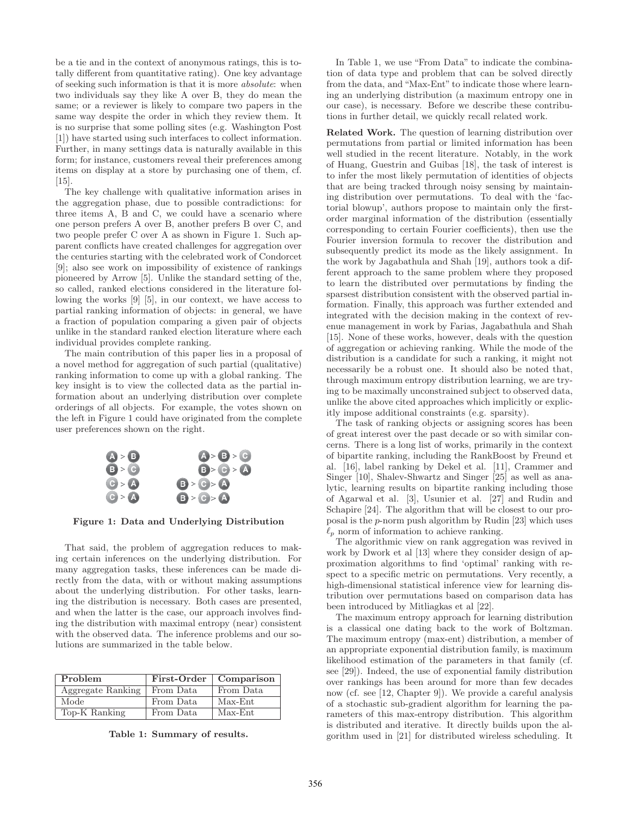be a tie and in the context of anonymous ratings, this is totally different from quantitative rating). One key advantage of seeking such information is that it is more absolute: when two individuals say they like A over B, they do mean the same; or a reviewer is likely to compare two papers in the same way despite the order in which they review them. It is no surprise that some polling sites (e.g. Washington Post [1]) have started using such interfaces to collect information. Further, in many settings data is naturally available in this form; for instance, customers reveal their preferences among items on display at a store by purchasing one of them, cf. [15].

The key challenge with qualitative information arises in the aggregation phase, due to possible contradictions: for three items A, B and C, we could have a scenario where one person prefers A over B, another prefers B over C, and two people prefer C over A as shown in Figure 1. Such apparent conflicts have created challenges for aggregation over the centuries starting with the celebrated work of Condorcet [9]; also see work on impossibility of existence of rankings pioneered by Arrow [5]. Unlike the standard setting of the, so called, ranked elections considered in the literature following the works [9] [5], in our context, we have access to partial ranking information of objects: in general, we have a fraction of population comparing a given pair of objects unlike in the standard ranked election literature where each individual provides complete ranking.

The main contribution of this paper lies in a proposal of a novel method for aggregation of such partial (qualitative) ranking information to come up with a global ranking. The key insight is to view the collected data as the partial information about an underlying distribution over complete orderings of all objects. For example, the votes shown on the left in Figure 1 could have originated from the complete user preferences shown on the right.



**Figure 1: Data and Underlying Distribution**

That said, the problem of aggregation reduces to making certain inferences on the underlying distribution. For many aggregation tasks, these inferences can be made directly from the data, with or without making assumptions about the underlying distribution. For other tasks, learning the distribution is necessary. Both cases are presented, and when the latter is the case, our approach involves finding the distribution with maximal entropy (near) consistent with the observed data. The inference problems and our solutions are summarized in the table below.

| Problem           |           | First-Order   Comparison |
|-------------------|-----------|--------------------------|
| Aggregate Ranking | From Data | From Data                |
| Mode              | From Data | $Max-Ent$                |
| Top-K Ranking     | From Data | Max-Ent                  |

**Table 1: Summary of results.**

In Table 1, we use "From Data" to indicate the combination of data type and problem that can be solved directly from the data, and "Max-Ent" to indicate those where learning an underlying distribution (a maximum entropy one in our case), is necessary. Before we describe these contributions in further detail, we quickly recall related work.

**Related Work.** The question of learning distribution over permutations from partial or limited information has been well studied in the recent literature. Notably, in the work of Huang, Guestrin and Guibas [18], the task of interest is to infer the most likely permutation of identities of objects that are being tracked through noisy sensing by maintaining distribution over permutations. To deal with the 'factorial blowup', authors propose to maintain only the firstorder marginal information of the distribution (essentially corresponding to certain Fourier coefficients), then use the Fourier inversion formula to recover the distribution and subsequently predict its mode as the likely assignment. In the work by Jagabathula and Shah [19], authors took a different approach to the same problem where they proposed to learn the distributed over permutations by finding the sparsest distribution consistent with the observed partial information. Finally, this approach was further extended and integrated with the decision making in the context of revenue management in work by Farias, Jagabathula and Shah [15]. None of these works, however, deals with the question of aggregation or achieving ranking. While the mode of the distribution is a candidate for such a ranking, it might not necessarily be a robust one. It should also be noted that, through maximum entropy distribution learning, we are trying to be maximally unconstrained subject to observed data, unlike the above cited approaches which implicitly or explicitly impose additional constraints (e.g. sparsity).

The task of ranking objects or assigning scores has been of great interest over the past decade or so with similar concerns. There is a long list of works, primarily in the context of bipartite ranking, including the RankBoost by Freund et al. [16], label ranking by Dekel et al. [11], Crammer and Singer [10], Shalev-Shwartz and Singer [25] as well as analytic, learning results on bipartite ranking including those of Agarwal et al. [3], Usunier et al. [27] and Rudin and Schapire [24]. The algorithm that will be closest to our proposal is the p-norm push algorithm by Rudin [23] which uses  $\ell_p$  norm of information to achieve ranking.<br>The algorithmic view on rank aggregation

The algorithmic view on rank aggregation was revived in work by Dwork et al [13] where they consider design of approximation algorithms to find 'optimal' ranking with respect to a specific metric on permutations. Very recently, a high-dimensional statistical inference view for learning distribution over permutations based on comparison data has been introduced by Mitliagkas et al [22].

The maximum entropy approach for learning distribution is a classical one dating back to the work of Boltzman. The maximum entropy (max-ent) distribution, a member of an appropriate exponential distribution family, is maximum likelihood estimation of the parameters in that family (cf. see [29]). Indeed, the use of exponential family distribution over rankings has been around for more than few decades now (cf. see [12, Chapter 9]). We provide a careful analysis of a stochastic sub-gradient algorithm for learning the parameters of this max-entropy distribution. This algorithm is distributed and iterative. It directly builds upon the algorithm used in [21] for distributed wireless scheduling. It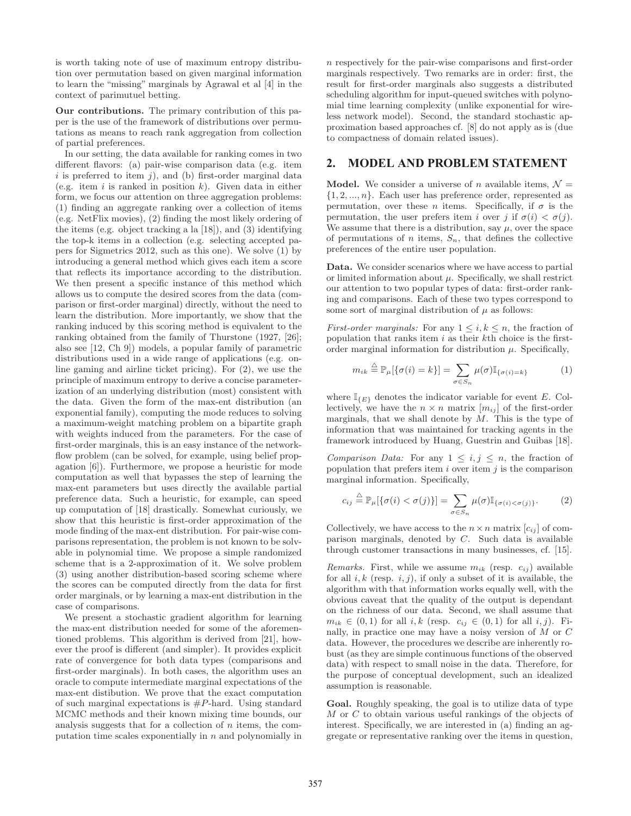is worth taking note of use of maximum entropy distribution over permutation based on given marginal information to learn the "missing" marginals by Agrawal et al [4] in the context of parimutuel betting.

**Our contributions.** The primary contribution of this paper is the use of the framework of distributions over permutations as means to reach rank aggregation from collection of partial preferences.

In our setting, the data available for ranking comes in two different flavors: (a) pair-wise comparison data (e.g. item  $i$  is preferred to item  $j$ ), and (b) first-order marginal data (e.g. item  $i$  is ranked in position  $k$ ). Given data in either form, we focus our attention on three aggregation problems: (1) finding an aggregate ranking over a collection of items (e.g. NetFlix movies), (2) finding the most likely ordering of the items (e.g. object tracking a la [18]), and (3) identifying the top-k items in a collection (e.g. selecting accepted papers for Sigmetrics 2012, such as this one). We solve (1) by introducing a general method which gives each item a score that reflects its importance according to the distribution. We then present a specific instance of this method which allows us to compute the desired scores from the data (comparison or first-order marginal) directly, without the need to learn the distribution. More importantly, we show that the ranking induced by this scoring method is equivalent to the ranking obtained from the family of Thurstone (1927, [26]; also see [12, Ch 9]) models, a popular family of parametric distributions used in a wide range of applications (e.g. online gaming and airline ticket pricing). For (2), we use the principle of maximum entropy to derive a concise parameterization of an underlying distribution (most) consistent with the data. Given the form of the max-ent distribution (an exponential family), computing the mode reduces to solving a maximum-weight matching problem on a bipartite graph with weights induced from the parameters. For the case of first-order marginals, this is an easy instance of the networkflow problem (can be solved, for example, using belief propagation [6]). Furthermore, we propose a heuristic for mode computation as well that bypasses the step of learning the max-ent parameters but uses directly the available partial preference data. Such a heuristic, for example, can speed up computation of [18] drastically. Somewhat curiously, we show that this heuristic is first-order approximation of the mode finding of the max-ent distribution. For pair-wise comparisons representation, the problem is not known to be solvable in polynomial time. We propose a simple randomized scheme that is a 2-approximation of it. We solve problem (3) using another distribution-based scoring scheme where the scores can be computed directly from the data for first order marginals, or by learning a max-ent distribution in the case of comparisons.

We present a stochastic gradient algorithm for learning the max-ent distribution needed for some of the aforementioned problems. This algorithm is derived from [21], however the proof is different (and simpler). It provides explicit rate of convergence for both data types (comparisons and first-order marginals). In both cases, the algorithm uses an oracle to compute intermediate marginal expectations of the max-ent distibution. We prove that the exact computation of such marginal expectations is  $#P$ -hard. Using standard MCMC methods and their known mixing time bounds, our analysis suggests that for a collection of  $n$  items, the computation time scales exponentially in  $n$  and polynomially in

n respectively for the pair-wise comparisons and first-order marginals respectively. Two remarks are in order: first, the result for first-order marginals also suggests a distributed scheduling algorithm for input-queued switches with polynomial time learning complexity (unlike exponential for wireless network model). Second, the standard stochastic approximation based approaches cf. [8] do not apply as is (due to compactness of domain related issues).

## **2. MODEL AND PROBLEM STATEMENT**

**Model.** We consider a universe of n available items,  $\mathcal{N} =$  $\{1, 2, ..., n\}$ . Each user has preference order, represented as permutation, over these *n* items. Specifically, if  $\sigma$  is the permutation, the user prefers item i over j if  $\sigma(i) < \sigma(j)$ . We assume that there is a distribution, say  $\mu$ , over the space of permutations of *n* items,  $S_n$ , that defines the collective preferences of the entire user population.

**Data.** We consider scenarios where we have access to partial or limited information about  $\mu$ . Specifically, we shall restrict our attention to two popular types of data: first-order ranking and comparisons. Each of these two types correspond to some sort of marginal distribution of  $\mu$  as follows:

*First-order marginals:* For any  $1 \leq i, k \leq n$ , the fraction of population that ranks item  $i$  as their  $k$ th choice is the firstorder marginal information for distribution  $\mu$ . Specifically,

$$
m_{ik} \stackrel{\triangle}{=} \mathbb{P}_{\mu}[\{\sigma(i) = k\}] = \sum_{\sigma \in S_n} \mu(\sigma) \mathbb{I}_{\{\sigma(i) = k\}} \tag{1}
$$

where  $\mathbb{I}_{\{E\}}$  denotes the indicator variable for event E. Collectively, we have the  $n \times n$  matrix  $[m_{ij}]$  of the first-order marginals, that we shall denote by  $M$ . This is the type of information that was maintained for tracking agents in the framework introduced by Huang, Guestrin and Guibas [18].

Comparison Data: For any  $1 \leq i, j \leq n$ , the fraction of population that prefers item  $i$  over item  $j$  is the comparison marginal information. Specifically,

$$
c_{ij} \stackrel{\triangle}{=} \mathbb{P}_{\mu}[\{\sigma(i) < \sigma(j)\}] = \sum_{\sigma \in S_n} \mu(\sigma) \mathbb{I}_{\{\sigma(i) < \sigma(j)\}}.\tag{2}
$$

Collectively, we have access to the  $n \times n$  matrix  $[c_{ij}]$  of comparison marginals, denoted by C. Such data is available through customer transactions in many businesses, cf. [15].

*Remarks.* First, while we assume  $m_{ik}$  (resp.  $c_{ij}$ ) available for all  $i, k$  (resp.  $i, j$ ), if only a subset of it is available, the algorithm with that information works equally well, with the obvious caveat that the quality of the output is dependant on the richness of our data. Second, we shall assume that  $m_{ik} \in (0,1)$  for all  $i, k$  (resp.  $c_{ij} \in (0,1)$  for all  $i, j$ ). Finally, in practice one may have a noisy version of M or C data. However, the procedures we describe are inherently robust (as they are simple continuous functions of the observed data) with respect to small noise in the data. Therefore, for the purpose of conceptual development, such an idealized assumption is reasonable.

**Goal.** Roughly speaking, the goal is to utilize data of type M or C to obtain various useful rankings of the objects of interest. Specifically, we are interested in (a) finding an aggregate or representative ranking over the items in question,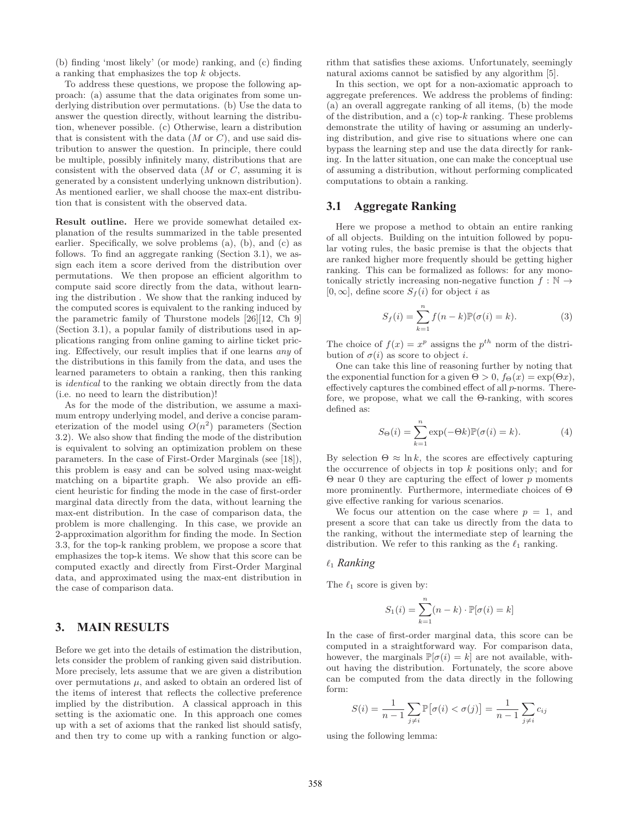(b) finding 'most likely' (or mode) ranking, and (c) finding a ranking that emphasizes the top k objects.

To address these questions, we propose the following approach: (a) assume that the data originates from some underlying distribution over permutations. (b) Use the data to answer the question directly, without learning the distribution, whenever possible. (c) Otherwise, learn a distribution that is consistent with the data  $(M \text{ or } C)$ , and use said distribution to answer the question. In principle, there could be multiple, possibly infinitely many, distributions that are consistent with the observed data  $(M \text{ or } C,$  assuming it is generated by a consistent underlying unknown distribution). As mentioned earlier, we shall choose the max-ent distribution that is consistent with the observed data.

**Result outline.** Here we provide somewhat detailed explanation of the results summarized in the table presented earlier. Specifically, we solve problems (a), (b), and (c) as follows. To find an aggregate ranking (Section 3.1), we assign each item a score derived from the distribution over permutations. We then propose an efficient algorithm to compute said score directly from the data, without learning the distribution . We show that the ranking induced by the computed scores is equivalent to the ranking induced by the parametric family of Thurstone models [26][12, Ch 9] (Section 3.1), a popular family of distributions used in applications ranging from online gaming to airline ticket pricing. Effectively, our result implies that if one learns any of the distributions in this family from the data, and uses the learned parameters to obtain a ranking, then this ranking is identical to the ranking we obtain directly from the data (i.e. no need to learn the distribution)!

As for the mode of the distribution, we assume a maximum entropy underlying model, and derive a concise parameterization of the model using  $O(n^2)$  parameters (Section 3.2). We also show that finding the mode of the distribution is equivalent to solving an optimization problem on these parameters. In the case of First-Order Marginals (see [18]), this problem is easy and can be solved using max-weight matching on a bipartite graph. We also provide an efficient heuristic for finding the mode in the case of first-order marginal data directly from the data, without learning the max-ent distribution. In the case of comparison data, the problem is more challenging. In this case, we provide an 2-approximation algorithm for finding the mode. In Section 3.3, for the top-k ranking problem, we propose a score that emphasizes the top-k items. We show that this score can be computed exactly and directly from First-Order Marginal data, and approximated using the max-ent distribution in the case of comparison data.

## **3. MAIN RESULTS**

Before we get into the details of estimation the distribution, lets consider the problem of ranking given said distribution. More precisely, lets assume that we are given a distribution over permutations  $\mu$ , and asked to obtain an ordered list of the items of interest that reflects the collective preference implied by the distribution. A classical approach in this setting is the axiomatic one. In this approach one comes up with a set of axioms that the ranked list should satisfy, and then try to come up with a ranking function or algorithm that satisfies these axioms. Unfortunately, seemingly natural axioms cannot be satisfied by any algorithm [5].

In this section, we opt for a non-axiomatic approach to aggregate preferences. We address the problems of finding: (a) an overall aggregate ranking of all items, (b) the mode of the distribution, and a  $(c)$  top- $k$  ranking. These problems demonstrate the utility of having or assuming an underlying distribution, and give rise to situations where one can bypass the learning step and use the data directly for ranking. In the latter situation, one can make the conceptual use of assuming a distribution, without performing complicated computations to obtain a ranking.

#### **3.1 Aggregate Ranking**

Here we propose a method to obtain an entire ranking of all objects. Building on the intuition followed by popular voting rules, the basic premise is that the objects that are ranked higher more frequently should be getting higher ranking. This can be formalized as follows: for any monotonically strictly increasing non-negative function  $f : \mathbb{N} \to$  $[0, \infty]$ , define score  $S_f(i)$  for object i as

$$
S_f(i) = \sum_{k=1}^{n} f(n-k) \mathbb{P}(\sigma(i) = k).
$$
 (3)

The choice of  $f(x) = x^p$  assigns the  $p^{th}$  norm of the distribution of  $\sigma(i)$  as score to object *i*.

One can take this line of reasoning further by noting that the exponential function for a given  $\Theta > 0$ ,  $f_{\Theta}(x) = \exp(\Theta x)$ , effectively captures the combined effect of all p-norms. Therefore, we propose, what we call the Θ-ranking, with scores defined as:

$$
S_{\Theta}(i) = \sum_{k=1}^{n} \exp(-\Theta k) \mathbb{P}(\sigma(i) = k).
$$
 (4)

By selection  $\Theta \approx \ln k$ , the scores are effectively capturing the occurrence of objects in top  $k$  positions only; and for  $\Theta$  near 0 they are capturing the effect of lower p moments more prominently. Furthermore, intermediate choices of Θ give effective ranking for various scenarios.

We focus our attention on the case where  $p = 1$ , and present a score that can take us directly from the data to the ranking, without the intermediate step of learning the distribution. We refer to this ranking as the  $\ell_1$  ranking.

### <sup>1</sup> *Ranking*

The  $\ell_1$  score is given by:

$$
S_1(i) = \sum_{k=1}^{n} (n-k) \cdot \mathbb{P}[\sigma(i) = k]
$$

In the case of first-order marginal data, this score can be computed in a straightforward way. For comparison data, however, the marginals  $\mathbb{P}[\sigma(i) = k]$  are not available, without having the distribution. Fortunately, the score above can be computed from the data directly in the following form:

$$
S(i) = \frac{1}{n-1} \sum_{j \neq i} \mathbb{P}\big[\sigma(i) < \sigma(j)\big] = \frac{1}{n-1} \sum_{j \neq i} c_{ij}
$$

using the following lemma: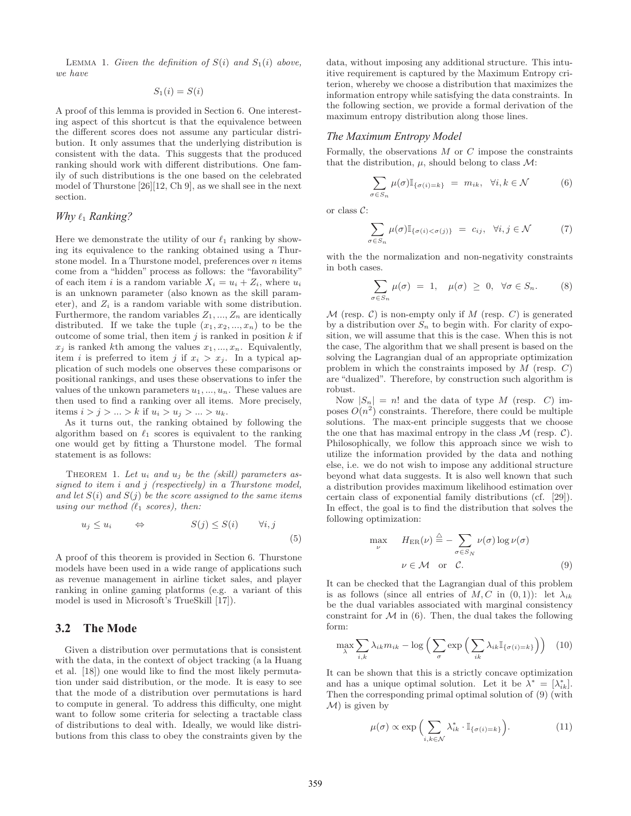LEMMA 1. Given the definition of  $S(i)$  and  $S_1(i)$  above, we have

$$
S_1(i) = S(i)
$$

A proof of this lemma is provided in Section 6. One interesting aspect of this shortcut is that the equivalence between the different scores does not assume any particular distribution. It only assumes that the underlying distribution is consistent with the data. This suggests that the produced ranking should work with different distributions. One family of such distributions is the one based on the celebrated model of Thurstone [26][12, Ch 9], as we shall see in the next section.

## *Why*  $\ell_1$  *Ranking?*

Here we demonstrate the utility of our  $\ell_1$  ranking by show-<br>ing its equivalence to the ranking obtained using a Thuring its equivalence to the ranking obtained using a Thurstone model. In a Thurstone model, preferences over  $n$  items come from a "hidden" process as follows: the "favorability" of each item i is a random variable  $X_i = u_i + Z_i$ , where  $u_i$ is an unknown parameter (also known as the skill parameter), and  $Z_i$  is a random variable with some distribution. Furthermore, the random variables  $Z_1, ..., Z_n$  are identically distributed. If we take the tuple  $(x_1, x_2, ..., x_n)$  to be the outcome of some trial, then item  $j$  is ranked in position  $k$  if  $x_i$  is ranked kth among the values  $x_1, ..., x_n$ . Equivalently, item *i* is preferred to item *j* if  $x_i > x_j$ . In a typical application of such models one observes these comparisons or positional rankings, and uses these observations to infer the values of the unkown parameters  $u_1, ..., u_n$ . These values are then used to find a ranking over all items. More precisely, items  $i > j > ... > k$  if  $u_i > u_j > ... > u_k$ .

As it turns out, the ranking obtained by following the algorithm based on  $\ell_1$  scores is equivalent to the ranking<br>one would get by fitting a Thurstone model. The formal one would get by fitting a Thurstone model. The formal statement is as follows:

THEOREM 1. Let  $u_i$  and  $u_j$  be the (skill) parameters assigned to item i and j (respectively) in a Thurstone model, and let  $S(i)$  and  $S(j)$  be the score assigned to the same items using our method  $(\ell_1 \text{ scores})$ , then:

$$
u_j \le u_i \qquad \Leftrightarrow \qquad S(j) \le S(i) \qquad \forall i, j \tag{5}
$$

A proof of this theorem is provided in Section 6. Thurstone models have been used in a wide range of applications such as revenue management in airline ticket sales, and player ranking in online gaming platforms (e.g. a variant of this model is used in Microsoft's TrueSkill [17]).

## **3.2 The Mode**

Given a distribution over permutations that is consistent with the data, in the context of object tracking (a la Huang et al. [18]) one would like to find the most likely permutation under said distribution, or the mode. It is easy to see that the mode of a distribution over permutations is hard to compute in general. To address this difficulty, one might want to follow some criteria for selecting a tractable class of distributions to deal with. Ideally, we would like distributions from this class to obey the constraints given by the

data, without imposing any additional structure. This intuitive requirement is captured by the Maximum Entropy criterion, whereby we choose a distribution that maximizes the information entropy while satisfying the data constraints. In the following section, we provide a formal derivation of the maximum entropy distribution along those lines.

#### *The Maximum Entropy Model*

Formally, the observations  $M$  or  $C$  impose the constraints that the distribution,  $\mu$ , should belong to class  $\mathcal{M}$ :

$$
\sum_{\sigma \in S_n} \mu(\sigma) \mathbb{I}_{\{\sigma(i) = k\}} = m_{ik}, \quad \forall i, k \in \mathcal{N} \tag{6}
$$

or class C:

$$
\sum_{\sigma \in S_n} \mu(\sigma) \mathbb{I}_{\{\sigma(i) < \sigma(j)\}} = c_{ij}, \quad \forall i, j \in \mathcal{N} \tag{7}
$$

with the the normalization and non-negativity constraints in both cases.

$$
\sum_{\sigma \in S_n} \mu(\sigma) = 1, \quad \mu(\sigma) \ge 0, \quad \forall \sigma \in S_n. \tag{8}
$$

 $\mathcal M$  (resp. C) is non-empty only if M (resp. C) is generated by a distribution over  $S_n$  to begin with. For clarity of exposition, we will assume that this is the case. When this is not the case, The algorithm that we shall present is based on the solving the Lagrangian dual of an appropriate optimization problem in which the constraints imposed by  $M$  (resp.  $C$ ) are "dualized". Therefore, by construction such algorithm is robust.

Now  $|S_n| = n!$  and the data of type M (resp. C) imposes  $O(n^2)$  constraints. Therefore, there could be multiple solutions. The max-ent principle suggests that we choose the one that has maximal entropy in the class  $\mathcal M$  (resp.  $\mathcal C$ ). Philosophically, we follow this approach since we wish to utilize the information provided by the data and nothing else, i.e. we do not wish to impose any additional structure beyond what data suggests. It is also well known that such a distribution provides maximum likelihood estimation over certain class of exponential family distributions (cf. [29]). In effect, the goal is to find the distribution that solves the following optimization:

$$
\max_{\nu} \quad H_{\text{ER}}(\nu) \stackrel{\triangle}{=} -\sum_{\sigma \in S_N} \nu(\sigma) \log \nu(\sigma)
$$
\n
$$
\nu \in \mathcal{M} \quad \text{or} \quad \mathcal{C}.\tag{9}
$$

It can be checked that the Lagrangian dual of this problem is as follows (since all entries of M, C in  $(0, 1)$ ): let  $\lambda_{ik}$ be the dual variables associated with marginal consistency constraint for  $M$  in (6). Then, the dual takes the following form:

$$
\max_{\lambda} \sum_{i,k} \lambda_{ik} m_{ik} - \log \left( \sum_{\sigma} \exp \left( \sum_{ik} \lambda_{ik} \mathbb{I}_{\{\sigma(i) = k\}} \right) \right) \tag{10}
$$

It can be shown that this is a strictly concave optimization and has a unique optimal solution. Let it be  $\lambda^* = [\lambda_{ik}^*]$ .<br>Then the corresponding primal optimal solution of (9) (with Then the corresponding primal optimal solution of (9) (with  $\mathcal{M}$ ) is given by

$$
\mu(\sigma) \propto \exp\Big(\sum_{i,k\in\mathcal{N}} \lambda_{ik}^* \cdot \mathbb{I}_{\{\sigma(i)=k\}}\Big). \tag{11}
$$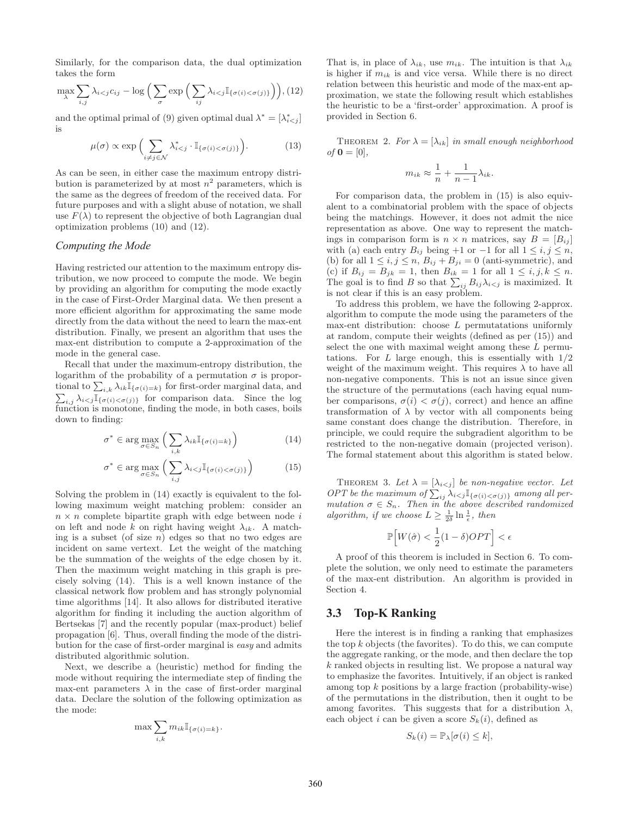Similarly, for the comparison data, the dual optimization takes the form

$$
\max_{\lambda} \sum_{i,j} \lambda_{i < j} c_{ij} - \log \Big( \sum_{\sigma} \exp \Big( \sum_{ij} \lambda_{i < j} \mathbb{I}_{\{\sigma(i) < \sigma(j)\}} \Big) \Big), \quad (12)
$$

and the optimal primal of (9) given optimal dual  $\lambda^* = [\lambda^*_{i \lt j}]$ is

$$
\mu(\sigma) \propto \exp\Big(\sum_{i \neq j \in \mathcal{N}} \lambda_{i < j}^* \cdot \mathbb{I}_{\{\sigma(i) < \sigma(j)\}}\Big). \tag{13}
$$

As can be seen, in either case the maximum entropy distribution is parameterized by at most  $n^2$  parameters, which is the same as the degrees of freedom of the received data. For future purposes and with a slight abuse of notation, we shall use  $F(\lambda)$  to represent the objective of both Lagrangian dual optimization problems (10) and (12).

#### *Computing the Mode*

Having restricted our attention to the maximum entropy distribution, we now proceed to compute the mode. We begin by providing an algorithm for computing the mode exactly in the case of First-Order Marginal data. We then present a more efficient algorithm for approximating the same mode directly from the data without the need to learn the max-ent distribution. Finally, we present an algorithm that uses the max-ent distribution to compute a 2-approximation of the mode in the general case.

Recall that under the maximum-entropy distribution, the logarithm of the probability of a permutation  $\sigma$  is proportional to  $\sum_{i,k} \lambda_{ik} \overline{1}_{\{\sigma(i)=k\}}$  for first-order marginal data, and  $\sum_{i,j} \lambda_{i \leq j} \mathbb{I}_{\{\sigma(i) < \sigma(j)\}}$  for comparison data. Since the log<br>function is monotone finding the mode in both cases boils function is monotone, finding the mode, in both cases, boils down to finding:

$$
\sigma^* \in \arg\max_{\sigma \in S_n} \left( \sum_{i,k} \lambda_{ik} \mathbb{I}_{\{\sigma(i)=k\}} \right) \tag{14}
$$

$$
\sigma^* \in \arg\max_{\sigma \in S_n} \left( \sum_{i,j} \lambda_{i < j} \mathbb{I}_{\{\sigma(i) < \sigma(j)\}} \right) \tag{15}
$$

Solving the problem in (14) exactly is equivalent to the following maximum weight matching problem: consider an  $n \times n$  complete bipartite graph with edge between node i on left and node k on right having weight  $\lambda_{ik}$ . A matching is a subset (of size  $n$ ) edges so that no two edges are incident on same vertext. Let the weight of the matching be the summation of the weights of the edge chosen by it. Then the maximum weight matching in this graph is precisely solving (14). This is a well known instance of the classical network flow problem and has strongly polynomial time algorithms [14]. It also allows for distributed iterative algorithm for finding it including the auction algorithm of Bertsekas [7] and the recently popular (max-product) belief propagation [6]. Thus, overall finding the mode of the distribution for the case of first-order marginal is easy and admits distributed algorithmic solution.

Next, we describe a (heuristic) method for finding the mode without requiring the intermediate step of finding the max-ent parameters  $\lambda$  in the case of first-order marginal data. Declare the solution of the following optimization as the mode:

$$
\max \sum_{i,k} m_{ik} \mathbb{I}_{\{\sigma(i)=k\}}.
$$

That is, in place of  $\lambda_{ik}$ , use  $m_{ik}$ . The intuition is that  $\lambda_{ik}$ is higher if  $m_{ik}$  is and vice versa. While there is no direct relation between this heuristic and mode of the max-ent approximation, we state the following result which establishes the heuristic to be a 'first-order' approximation. A proof is provided in Section 6.

THEOREM 2. For  $\lambda = [\lambda_{ik}]$  in small enough neighborhood  $of$ **0** = [0],

$$
m_{ik} \approx \frac{1}{n} + \frac{1}{n-1} \lambda_{ik}.
$$

For comparison data, the problem in (15) is also equivalent to a combinatorial problem with the space of objects being the matchings. However, it does not admit the nice representation as above. One way to represent the matchings in comparison form is  $n \times n$  matrices, say  $B = [B_{ij}]$ with (a) each entry  $B_{ij}$  being +1 or -1 for all  $1 \le i, j \le n$ , (b) for all  $1 \le i, j \le n$ ,  $B_{ij} + B_{ji} = 0$  (anti-symmetric), and (c) if  $B_{ij} = B_{jk} = 1$ , then  $B_{ik} = 1$  for all  $1 \le i, j, k \le n$ .<br>The goal is to find B so that  $\sum_{i} B_{i+1}$  is maximized. It The goal is to find B so that  $\sum_{ij} B_{ij} \lambda_{i \le j}$  is maximized. It is not clear if this is an easy problem is not clear if this is an easy problem.

To address this problem, we have the following 2-approx. algorithm to compute the mode using the parameters of the max-ent distribution: choose L permutatations uniformly at random, compute their weights (defined as per (15)) and select the one with maximal weight among these L permutations. For  $L$  large enough, this is essentially with  $1/2$ weight of the maximum weight. This requires  $\lambda$  to have all non-negative components. This is not an issue since given the structure of the permutations (each having equal number comparisons,  $\sigma(i) < \sigma(j)$ , correct) and hence an affine transformation of  $\lambda$  by vector with all components being same constant does change the distribution. Therefore, in principle, we could require the subgradient algorithm to be restricted to the non-negative domain (projected verison). The formal statement about this algorithm is stated below.

THEOREM 3. Let  $\lambda = [\lambda_{i \lt j}]$  be non-negative vector. Let OPT be the maximum of  $\sum_{ij} \lambda_{i \lt j} \mathbb{I}_{\{\sigma(i) < \sigma(j)\}}$  among all per-<br>mutation  $\sigma \in S$ . Then in the above described randomized mutation  $\sigma \in S_n$ . Then in the above described randomized<br>algorithm if we choose  $L > \frac{1}{n} \ln \frac{1}{n}$  then algorithm, if we choose  $L \geq \frac{1}{2\delta} \ln \frac{1}{\epsilon}$ , then

$$
\mathbb{P}\Big[W(\hat{\sigma}) < \frac{1}{2}(1-\delta)OPT\Big] < \epsilon
$$

A proof of this theorem is included in Section 6. To complete the solution, we only need to estimate the parameters of the max-ent distribution. An algorithm is provided in Section 4.

## **3.3 Top-K Ranking**

Here the interest is in finding a ranking that emphasizes the top  $k$  objects (the favorites). To do this, we can compute the aggregate ranking, or the mode, and then declare the top k ranked objects in resulting list. We propose a natural way to emphasize the favorites. Intuitively, if an object is ranked among top k positions by a large fraction (probability-wise) of the permutations in the distribution, then it ought to be among favorites. This suggests that for a distribution  $\lambda$ , each object i can be given a score  $S_k(i)$ , defined as

$$
S_k(i) = \mathbb{P}_\lambda[\sigma(i) \leq k],
$$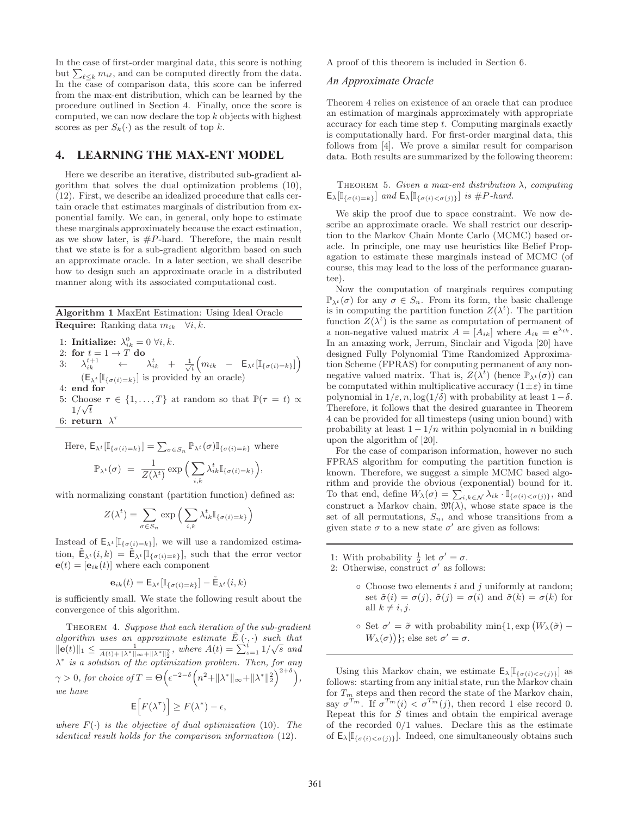In the case of first-order marginal data, this score is nothing but  $\sum_{\ell \leq k} m_{i\ell}$ , and can be computed directly from the data.<br>In the case of comparison data, this score can be inferred In the case of comparison data, this score can be inferred from the max-ent distribution, which can be learned by the procedure outlined in Section 4. Finally, once the score is computed, we can now declare the top k objects with highest scores as per  $S_k(\cdot)$  as the result of top k.

## **4. LEARNING THE MAX-ENT MODEL**

Here we describe an iterative, distributed sub-gradient algorithm that solves the dual optimization problems (10), (12). First, we describe an idealized procedure that calls certain oracle that estimates marginals of distribution from exponential family. We can, in general, only hope to estimate these marginals approximately because the exact estimation, as we show later, is  $#P$ -hard. Therefore, the main result that we state is for a sub-gradient algorithm based on such an approximate oracle. In a later section, we shall describe how to design such an approximate oracle in a distributed manner along with its associated computational cost.

#### **Algorithm 1** MaxEnt Estimation: Using Ideal Oracle **Require:** Ranking data  $m_{ik}$   $\forall i, k$ .

1: **Initialize:**  $\lambda_{ik}^0 = 0 \ \forall i, k.$ <br>2. for  $t = 1 \rightarrow T$  do 2: **for**  $t = 1 \rightarrow T$  **do**<br>3.  $\lambda^{t+1}$   $\leftarrow$ 3:  $\lambda_{ik}^{t+1} \leftarrow \lambda_{ik}^t + \frac{1}{\sqrt{t}} \Big( m_{ik} - \mathsf{E}_{\lambda^t} [\mathbb{I}_{\{\sigma(i)=k\}}] \Big)$  $\left(\mathsf{E}_{\lambda^t}[\mathbb{I}_{\{\sigma(i) = k\}}]$  is provided by an oracle) 4: **end for**

5: Choose  $\tau \in \{1, ..., T\}$  at random so that  $\mathbb{P}(\tau = t) \propto 1/\sqrt{t}$  $1/\sqrt{t}$ 6: **return**  $\lambda^{\tau}$ 

Here, 
$$
E_{\lambda^t}[\mathbb{I}_{\{\sigma(i)=k\}}] = \sum_{\sigma \in S_n} \mathbb{P}_{\lambda^t}(\sigma) \mathbb{I}_{\{\sigma(i)=k\}}
$$
 where

$$
\mathbb{P}_{\lambda^{t}}(\sigma) = \frac{1}{Z(\lambda^{t})} \exp\Big(\sum_{i,k} \lambda_{ik}^{t} \mathbb{I}_{\{\sigma(i)=k\}}\Big),
$$

with normalizing constant (partition function) defined as:

$$
Z(\lambda^t) = \sum_{\sigma \in S_n} \exp\left(\sum_{i,k} \lambda^t_{ik} \mathbb{I}_{\{\sigma(i) = k\}}\right)
$$

Instead of  $\mathsf{E}_{\lambda^t}[\mathbb{I}_{\{\sigma(i)=k\}}],$  we will use a randomized estimation,  $\mathsf{E}_{\lambda^t}(i,k) = \mathsf{E}_{\lambda^t}[\mathbb{I}_{\{\sigma(i)=k\}}]$ , such that the error vector  **where each component** 

$$
\mathbf{e}_{ik}(t) = \mathsf{E}_{\lambda^t}[\mathbb{I}_{\{\sigma(i)=k\}}] - \tilde{\mathsf{E}}_{\lambda^t}(i,k)
$$

is sufficiently small. We state the following result about the convergence of this algorithm.

THEOREM 4. Suppose that each iteration of the sub-gradient algorithm uses an approximate estimate  $\tilde{E}(\cdot, \cdot)$  such that  $||e(t)||_{\infty} \leq \frac{1}{\sqrt{2\pi}} \int_{-\infty}^{\infty} e^{i t} \cdot \int_{-\infty}^{\infty} e^{i t} \cdot \int_{-\infty}^{\infty} e^{i t} \cdot \int_{-\infty}^{\infty} e^{i t} \cdot \int_{-\infty}^{\infty} e^{i t} \cdot \int_{-\infty}^{\infty} e^{i t} \cdot \int_{-\infty}^{\infty} e^{i t} \$ **e**(t)||1 ≤  $\frac{1}{A(t)+||\lambda^*||_{\infty}+||\lambda^*||_2^2}$ , where  $A(t) = \sum_{s=1}^{t} 1/\sqrt{s}$  and  $\lambda^*$  is a solution of the optimization problem. Then, for any  $\gamma > 0$ , for choice of  $T = \Theta\Big(\epsilon\Big)$  $e^{-2-\delta} (n^2 + ||\lambda^*||_{\infty} + ||\lambda^*||_2^2)^{2+\delta}$ we have

$$
\mathsf{E}\Big[F(\lambda^{\tau})\Big] \geq F(\lambda^*) - \epsilon,
$$

where  $F(\cdot)$  is the objective of dual optimization (10). The identical result holds for the comparison information (12).

A proof of this theorem is included in Section 6.

#### *An Approximate Oracle*

Theorem 4 relies on existence of an oracle that can produce an estimation of marginals approximately with appropriate accuracy for each time step t. Computing marginals exactly is computationally hard. For first-order marginal data, this follows from [4]. We prove a similar result for comparison data. Both results are summarized by the following theorem:

THEOREM 5. Given a max-ent distribution  $\lambda$ , computing  $E_{\lambda}[\mathbb{I}_{\{\sigma(i)=k\}}]$  and  $E_{\lambda}[\mathbb{I}_{\{\sigma(i)<\sigma(i)\}}]$  is #P-hard.

We skip the proof due to space constraint. We now describe an approximate oracle. We shall restrict our description to the Markov Chain Monte Carlo (MCMC) based oracle. In principle, one may use heuristics like Belief Propagation to estimate these marginals instead of MCMC (of course, this may lead to the loss of the performance guarantee).

Now the computation of marginals requires computing  $\mathbb{P}_{\lambda}t(\sigma)$  for any  $\sigma \in S_n$ . From its form, the basic challenge is in computing the partition function  $Z(\lambda^t)$ . The partition function  $Z(\lambda^t)$  is the same as computation of permanent of function  $Z(\lambda^t)$  is the same as computation of permanent of a non-negative valued matrix  $A = [A_{ij}]$  where  $A_{ij} = e^{\lambda_{ik}}$ a non-negative valued matrix  $A = [A_{ik}]$  where  $A_{ik} = e^{\lambda_{ik}}$ . In an amazing work, Jerrum, Sinclair and Vigoda [20] have designed Fully Polynomial Time Randomized Approximation Scheme (FPRAS) for computing permanent of any nonnegative valued matrix. That is,  $Z(\lambda^t)$  (hence  $\mathbb{P}_{\lambda^t}(\sigma)$ ) can<br>be computated within multiplicative accuracy  $(1+\varepsilon)$  in time be computated within multiplicative accuracy  $(1 \pm \varepsilon)$  in time polynomial in  $1/\varepsilon$ ,  $n$ ,  $\log(1/\delta)$  with probability at least  $1-\delta$ . Therefore, it follows that the desired guarantee in Theorem 4 can be provided for all timesteps (using union bound) with probability at least  $1 - 1/n$  within polynomial in n building upon the algorithm of [20].

For the case of comparison information, however no such FPRAS algorithm for computing the partition function is known. Therefore, we suggest a simple MCMC based algorithm and provide the obvious (exponential) bound for it. To that end, define  $W_{\lambda}(\sigma) = \sum_{i,k \in \mathcal{N}} \lambda_{ik} \cdot \mathbb{I}_{\{\sigma(i) < \sigma(j)\}}$ , and construct a Markov chain,  $\mathfrak{M}(\lambda)$ , whose state space is the set of all permutations,  $S_n$ , and whose transitions from a given state  $\sigma$  to a new state  $\sigma'$  are given as follows:

- 1: With probability  $\frac{1}{2}$  let  $\sigma' = \sigma$ .<br>2. Otherwise construct  $\sigma'$  as foll
- 2: Otherwise, construct  $\sigma'$  as follows:
	- $\circ$  Choose two elements i and j uniformly at random; set  $\tilde{\sigma}(i) = \sigma(j)$ ,  $\tilde{\sigma}(j) = \sigma(i)$  and  $\tilde{\sigma}(k) = \sigma(k)$  for all  $k \neq i, j$ .
	- $\circ$  Set  $\sigma' = \tilde{\sigma}$  with probability min{1, exp  $(W_\lambda(\tilde{\sigma}) W_\lambda(\tilde{\sigma}))$  can be set  $\sigma' = \tilde{\sigma}$  $W_{\lambda}(\sigma)$ }; else set  $\sigma' = \sigma$ .

Using this Markov chain, we estimate  $\mathsf{E}_{\lambda}[\mathbb{I}_{\{\sigma(i) < \sigma(j)\}}]$  as follows: starting from any initial state, run the Markov chain for  $T_m$  steps and then record the state of the Markov chain,<br>say  $\sigma^{T_m}$  If  $\sigma^{T_m}(i) < \sigma^{T_m}(i)$  then record 1 else record 0 say  $\sigma^{T_m}$ . If  $\sigma^{T_m}(i) < \sigma^{T_m}(j)$ , then record 1 else record 0.<br>Repeat this for S times and obtain the empirical average Repeat this for  $S$  times and obtain the empirical average of the recorded  $0/1$  values. Declare this as the estimate of  $E_{\lambda}[\mathbb{I}_{\{\sigma(i)<\sigma(j)\}}]$ . Indeed, one simultaneously obtains such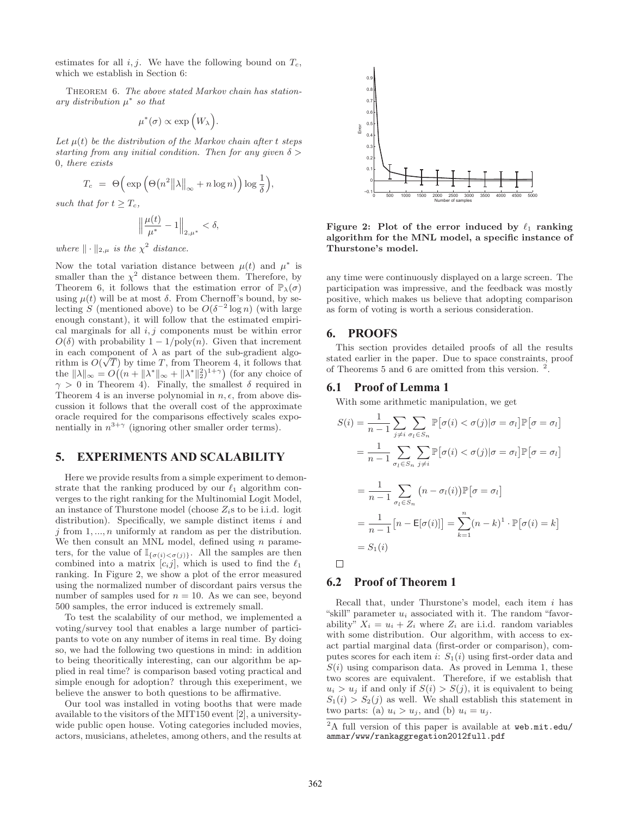estimates for all  $i, j$ . We have the following bound on  $T_c$ , which we establish in Section 6:

Theorem 6. The above stated Markov chain has stationary distribution  $\mu^*$  so that

$$
\mu^*(\sigma) \propto \exp\left(W_\lambda\right)
$$

Let  $\mu(t)$  be the distribution of the Markov chain after t steps starting from any initial condition. Then for any given  $\delta$ 0, there exists

$$
T_c = \Theta\Big(\exp\Big(\Theta\big(n^2 \big\|\lambda\big\|_{\infty} + n\log n\big)\Big)\log\frac{1}{\delta}\Big),\,
$$

such that for  $t \geq T_c$ ,

$$
\left\|\frac{\mu(t)}{\mu^*} - 1\right\|_{2,\mu^*} < \delta,
$$

where  $\|\cdot\|_{2,\mu}$  is the  $\chi^2$  distance.

Now the total variation distance between  $\mu(t)$  and  $\mu^*$  is smaller than the  $\chi^2$  distance between them. Therefore, by Theorem 6, it follows that the estimation error of  $\mathbb{P}_{\lambda}(\sigma)$ using  $\mu(t)$  will be at most  $\delta$ . From Chernoff's bound, by selecting S (mentioned above) to be  $O(\delta^{-2} \log n)$  (with large enough constant), it will follow that the estimated empirical marginals for all  $i, j$  components must be within error  $O(\delta)$  with probability  $1 - 1/\text{poly}(n)$ . Given that increment in each component of  $\lambda$  as part of the sub-gradient algo-<br>rithm is  $O(\sqrt{T})$  by time T from Theorem A it follows that rithm is  $O(\sqrt{T})$  by time T, from Theorem 4, it follows that<br>the  $\|\lambda\| = O((n + \|\lambda^*\| + \|\lambda^*\|_2^2)^{1+\gamma})$  (for any choice of the  $\|\lambda\|_{\infty} = O((n + \|\lambda^*\|_{\infty} + \|\lambda^*\|_{2}^2)^{1+\gamma})$  (for any choice of  $\gamma > 0$  in Theorem 4) Finally the smallest  $\delta$  required in  $\gamma > 0$  in Theorem 4). Finally, the smallest  $\delta$  required in Theorem 4 is an inverse polynomial in  $n, \epsilon$ , from above discussion it follows that the overall cost of the approximate oracle required for the comparisons effectively scales exponentially in  $n^{3+\gamma}$  (ignoring other smaller order terms).

### **5. EXPERIMENTS AND SCALABILITY**

Here we provide results from a simple experiment to demonstrate that the ranking produced by our  $\ell_1$  algorithm con-<br>verges to the right ranking for the Multinomial Logit Model verges to the right ranking for the Multinomial Logit Model, an instance of Thurstone model (choose  $Z_i$ s to be i.i.d. logit distribution). Specifically, we sample distinct items  $i$  and  $j$  from  $1, \ldots, n$  uniformly at random as per the distribution. We then consult an MNL model, defined using  $n$  parameters, for the value of  $\mathbb{I}_{\{\sigma(i)<\sigma(j)\}}$ . All the samples are then combined into a matrix  $[c_i j]$ , which is used to find the  $\ell_1$ <br>ranking. In Figure 2, we show a plot of the error measured ranking. In Figure 2, we show a plot of the error measured using the normalized number of discordant pairs versus the number of samples used for  $n = 10$ . As we can see, beyond 500 samples, the error induced is extremely small.

To test the scalability of our method, we implemented a voting/survey tool that enables a large number of participants to vote on any number of items in real time. By doing so, we had the following two questions in mind: in addition to being theoritically interesting, can our algorithm be applied in real time? is comparison based voting practical and simple enough for adoption? through this exeperiment, we believe the answer to both questions to be affirmative.

Our tool was installed in voting booths that were made available to the visitors of the MIT150 event [2], a universitywide public open house. Voting categories included movies, actors, musicians, atheletes, among others, and the results at



Figure 2: Plot of the error induced by  $\ell_1$  ranking<br>algorithm for the MNL model a specific instance of **algorithm for the MNL model, a specific instance of Thurstone's model.**

any time were continuously displayed on a large screen. The participation was impressive, and the feedback was mostly positive, which makes us believe that adopting comparison as form of voting is worth a serious consideration.

#### **6. PROOFS**

This section provides detailed proofs of all the results stated earlier in the paper. Due to space constraints, proof of Theorems 5 and 6 are omitted from this version.  $2$ 

#### **6.1 Proof of Lemma 1**

With some arithmetic manipulation, we get

$$
S(i) = \frac{1}{n-1} \sum_{j \neq i} \sum_{\sigma_l \in S_n} \mathbb{P}[\sigma(i) < \sigma(j)|\sigma = \sigma_l] \mathbb{P}[\sigma = \sigma_l]
$$
\n
$$
= \frac{1}{n-1} \sum_{\sigma_l \in S_n} \sum_{j \neq i} \mathbb{P}[\sigma(i) < \sigma(j)|\sigma = \sigma_l] \mathbb{P}[\sigma = \sigma_l]
$$
\n
$$
= \frac{1}{n-1} \sum_{\sigma_l \in S_n} (n - \sigma_l(i)) \mathbb{P}[\sigma = \sigma_l]
$$
\n
$$
= \frac{1}{n-1} [n - \mathbb{E}[\sigma(i)]] = \sum_{k=1}^n (n - k)^1 \cdot \mathbb{P}[\sigma(i) = k]
$$
\n
$$
= S_1(i)
$$

 $\Box$ 

## **6.2 Proof of Theorem 1**

Recall that, under Thurstone's model, each item  $i$  has "skill" parameter  $u_i$  associated with it. The random "favorability"  $X_i = u_i + Z_i$  where  $Z_i$  are i.i.d. random variables with some distribution. Our algorithm, with access to exact partial marginal data (first-order or comparison), computes scores for each item i:  $S_1(i)$  using first-order data and  $S(i)$  using comparison data. As proved in Lemma 1, these two scores are equivalent. Therefore, if we establish that  $u_i > u_j$  if and only if  $S(i) > S(j)$ , it is equivalent to being  $S_1(i) > S_2(j)$  as well. We shall establish this statement in two parts: (a)  $u_i > u_j$ , and (b)  $u_i = u_j$ .

<sup>&</sup>lt;sup>2</sup>A full version of this paper is available at web.mit.edu/ ammar/www/rankaggregation2012full.pdf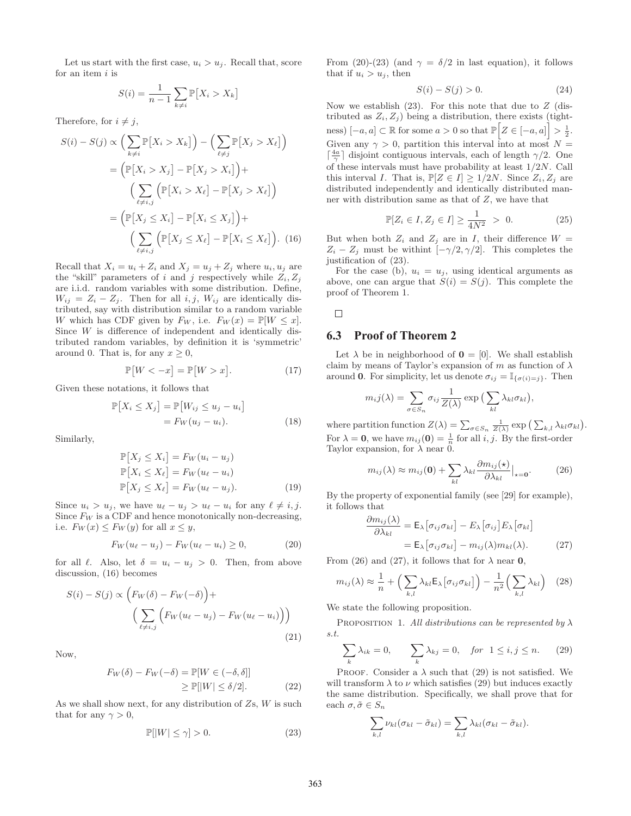Let us start with the first case,  $u_i > u_j$ . Recall that, score for an item  $i$  is

$$
S(i) = \frac{1}{n-1} \sum_{k \neq i} \mathbb{P}[X_i > X_k]
$$

Therefore, for  $i \neq j$ ,

$$
S(i) - S(j) \propto \left(\sum_{k \neq i} \mathbb{P}[X_i > X_k]\right) - \left(\sum_{\ell \neq j} \mathbb{P}[X_j > X_\ell]\right)
$$
\n
$$
= \left(\mathbb{P}[X_i > X_j] - \mathbb{P}[X_j > X_i]\right) + \left(\sum_{\ell \neq i,j} \left(\mathbb{P}[X_i > X_\ell] - \mathbb{P}[X_j > X_\ell]\right)\right)
$$
\n
$$
= \left(\mathbb{P}[X_j \leq X_i] - \mathbb{P}[X_i \leq X_j]\right) + \left(\sum_{\ell \neq i,j} \left(\mathbb{P}[X_j \leq X_\ell] - \mathbb{P}[X_i \leq X_\ell]\right). \quad (16)
$$

Recall that  $X_i = u_i + Z_i$  and  $X_j = u_j + Z_j$  where  $u_i, u_j$  are the "skill" parameters of i and j respectively while  $Z_i, Z_j$ are i.i.d. random variables with some distribution. Define,  $W_{ij} = Z_i - Z_j$ . Then for all i, j,  $W_{ij}$  are identically distributed, say with distribution similar to a random variable W which has CDF given by  $F_W$ , i.e.  $F_W(x) = \mathbb{P}[W \leq x]$ . Since W is difference of independent and identically distributed random variables, by definition it is 'symmetric' around 0. That is, for any  $x \geq 0$ ,

$$
\mathbb{P}[W < -x] = \mathbb{P}[W > x].\tag{17}
$$

Given these notations, it follows that

$$
\mathbb{P}[X_i \le X_j] = \mathbb{P}[W_{ij} \le u_j - u_i]
$$

$$
= F_W(u_j - u_i). \tag{18}
$$

Similarly,

$$
\mathbb{P}[X_j \le X_i] = F_W(u_i - u_j)
$$
  
\n
$$
\mathbb{P}[X_i \le X_\ell] = F_W(u_\ell - u_i)
$$
  
\n
$$
\mathbb{P}[X_j \le X_\ell] = F_W(u_\ell - u_j).
$$
\n(19)

Since  $u_i > u_j$ , we have  $u_\ell - u_j > u_\ell - u_i$  for any  $\ell \neq i, j$ .<br>Since  $F_{ij}$  is a CDF and hence monotonically non-decreasing Since  $F_W$  is a CDF and hence monotonically non-decreasing, i.e.  $F_W(x) \leq F_W(y)$  for all  $x \leq y$ ,

$$
F_W(u_{\ell} - u_j) - F_W(u_{\ell} - u_i) \ge 0, \tag{20}
$$

for all  $\ell$ . Also, let  $\delta = u_i - u_j > 0$ . Then, from above<br>discussion (16) becomes discussion, (16) becomes

$$
S(i) - S(j) \propto \left(F_W(\delta) - F_W(-\delta)\right) + \left(\sum_{\ell \neq i,j} \left(F_W(u_\ell - u_j) - F_W(u_\ell - u_i)\right)\right)
$$
\n(21)

Now,

$$
F_W(\delta) - F_W(-\delta) = \mathbb{P}[W \in (-\delta, \delta]]
$$
  
\n
$$
\geq \mathbb{P}[|W| \leq \delta/2].
$$
 (22)

As we shall show next, for any distribution of  $Z_s$ ,  $W$  is such that for any  $\gamma > 0$ ,

$$
\mathbb{P}[|W| \le \gamma] > 0. \tag{23}
$$

From (20)-(23) (and  $\gamma = \delta/2$  in last equation), it follows that if  $u_i > u_j$ , then

$$
S(i) - S(j) > 0.
$$
 (24)

Now we establish  $(23)$ . For this note that due to Z (distributed as  $Z_i, Z_j$ ) being a distribution, there exists (tightness)  $[-a, a] \subset \mathbb{R}$  for some  $a > 0$  so that  $\mathbb{P}\left[Z \in [-a, a]\right] > \frac{1}{2}$ . Given any  $\gamma > 0$ , partition this interval into at most  $N =$  $\lceil \frac{4a}{\gamma} \rceil$  disjoint contiguous intervals, each of length  $\gamma/2$ . One of these intervals must have probability at least 1/2N. Call this interval I. That is,  $\mathbb{P}[Z \in I] \geq 1/2N$ . Since  $Z_i, Z_j$  are distributed independently and identically distributed manner with distribution same as that of  $Z$ , we have that

$$
\mathbb{P}[Z_i \in I, Z_j \in I] \ge \frac{1}{4N^2} > 0. \tag{25}
$$

But when both  $Z_i$  and  $Z_j$  are in I, their difference  $W =$ <br> $Z_i = Z_i$  must be withint  $[-\alpha/2, \alpha/2]$ . This completes the  $Z_i - Z_j$  must be withint  $\left[ -\gamma/2, \gamma/2 \right]$ . This completes the justification of (23).

For the case (b),  $u_i = u_j$ , using identical arguments as above, one can argue that  $S(i) = S(j)$ . This complete the proof of Theorem 1.

#### $\Box$

#### **6.3 Proof of Theorem 2**

Let  $\lambda$  be in neighborhood of  $\mathbf{0} = [0]$ . We shall establish claim by means of Taylor's expansion of m as function of  $\lambda$ around **0**. For simplicity, let us denote  $\sigma_{ij} = \mathbb{I}_{\{\sigma(i)=j\}}$ . Then

$$
m_i j(\lambda) = \sum_{\sigma \in S_n} \sigma_{ij} \frac{1}{Z(\lambda)} \exp \big( \sum_{kl} \lambda_{kl} \sigma_{kl} \big),
$$

where partition function  $Z(\lambda) = \sum_{\sigma \in S_n} \frac{1}{Z(\lambda)} \exp\left(\sum_{k,l} \lambda_{kl} \sigma_{kl}\right)$ . For  $\lambda = 0$ , we have  $m_{ij}(0) = \frac{1}{n}$  for all *i*, *j*. By the first-order Taylor expansion for  $\lambda$  near 0 Taylor expansion, for  $\lambda$  near 0.

$$
m_{ij}(\lambda) \approx m_{ij}(\mathbf{0}) + \sum_{kl} \lambda_{kl} \frac{\partial m_{ij}(\mathbf{x})}{\partial \lambda_{kl}} \Big|_{\mathbf{x} = \mathbf{0}}.
$$
 (26)

By the property of exponential family (see [29] for example), it follows that

$$
\frac{\partial m_{ij}(\lambda)}{\partial \lambda_{kl}} = \mathsf{E}_{\lambda} \left[ \sigma_{ij} \sigma_{kl} \right] - E_{\lambda} \left[ \sigma_{ij} \right] E_{\lambda} \left[ \sigma_{kl} \right]
$$

$$
= \mathsf{E}_{\lambda} \left[ \sigma_{ij} \sigma_{kl} \right] - m_{ij}(\lambda) m_{kl}(\lambda). \tag{27}
$$

From (26) and (27), it follows that for  $\lambda$  near **0**,

$$
m_{ij}(\lambda) \approx \frac{1}{n} + \left(\sum_{k,l} \lambda_{kl} \mathsf{E}_{\lambda} \big[ \sigma_{ij} \sigma_{kl} \big] \right) - \frac{1}{n^2} \left(\sum_{k,l} \lambda_{kl} \right) \quad (28)
$$

We state the following proposition.

PROPOSITION 1. All distributions can be represented by  $\lambda$ s.t.

$$
\sum_{k} \lambda_{ik} = 0, \qquad \sum_{k} \lambda_{kj} = 0, \quad \text{for} \ \ 1 \le i, j \le n. \tag{29}
$$

PROOF. Consider a  $\lambda$  such that (29) is not satisfied. We will transform  $\lambda$  to  $\nu$  which satisfies (29) but induces exactly the same distribution. Specifically, we shall prove that for each  $\sigma, \tilde{\sigma} \in S_n$ 

$$
\sum_{k,l} \nu_{kl} (\sigma_{kl} - \tilde{\sigma}_{kl}) = \sum_{k,l} \lambda_{kl} (\sigma_{kl} - \tilde{\sigma}_{kl}).
$$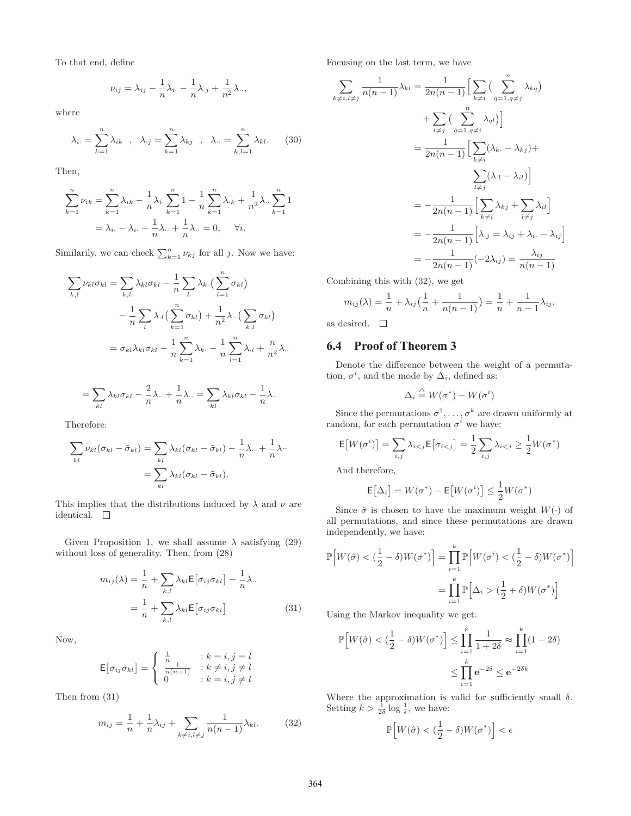To that end, define

$$
\nu_{ij} = \lambda_{ij} - \frac{1}{n}\lambda_{i\cdot} - \frac{1}{n}\lambda_{\cdot j} + \frac{1}{n^2}\lambda_{\cdot\cdot},
$$

where

$$
\lambda_{i\cdot} = \sum_{k=1}^{n} \lambda_{ik} , \quad \lambda_{\cdot j} = \sum_{k=1}^{n} \lambda_{kj} , \quad \lambda_{\cdot \cdot} = \sum_{k,l=1}^{n} \lambda_{kl} .
$$
 (30)

Then,

$$
\sum_{k=1}^{n} \nu_{ik} = \sum_{k=1}^{n} \lambda_{ik} - \frac{1}{n} \lambda_i \sum_{k=1}^{n} 1 - \frac{1}{n} \sum_{k=1}^{n} \lambda_{ik} + \frac{1}{n^2} \lambda \sum_{k=1}^{n} 1
$$

$$
= \lambda_i - \lambda_i - \frac{1}{n} \lambda \sum_{k=1}^{n} \lambda_{ik} = 0, \quad \forall i.
$$

Similarily, we can check  $\sum_{k=1}^{n} \nu_{kj}$  for all j. Now we have:

$$
\sum_{k,l} \nu_{kl}\sigma_{kl} = \sum_{k,l} \lambda_{kl}\sigma_{kl} - \frac{1}{n} \sum_{k} \lambda_{k} \cdot \left(\sum_{l=1}^{n} \sigma_{kl}\right) \n- \frac{1}{n} \sum_{l} \lambda_{l} \left(\sum_{k=1}^{n} \sigma_{kl}\right) + \frac{1}{n^{2}} \lambda \cdot \left(\sum_{k,l} \sigma_{kl}\right) \n= \sigma_{kl} \lambda_{kl} \sigma_{kl} - \frac{1}{n} \sum_{k=1}^{n} \lambda_{k} - \frac{1}{n} \sum_{l=1}^{n} \lambda_{l} + \frac{n}{n^{2}} \lambda \cdot \left(\sum_{l=1}^{n} \sigma_{kl}\right).
$$

$$
= \sum_{kl} \lambda_{kl} \sigma_{kl} - \frac{2}{n} \lambda_{..} + \frac{1}{n} \lambda_{..} = \sum_{kl} \lambda_{kl} \sigma_{kl} - \frac{1}{n} \lambda_{..}
$$

Therefore:

$$
\sum_{kl} \nu_{kl} (\sigma_{kl} - \tilde{\sigma}_{kl}) = \sum_{kl} \lambda_{kl} (\sigma_{kl} - \tilde{\sigma}_{kl}) - \frac{1}{n} \lambda_{\cdot \cdot} + \frac{1}{n} \lambda_{\cdot \cdot}
$$

$$
= \sum_{kl} \lambda_{kl} (\sigma_{kl} - \tilde{\sigma}_{kl}).
$$

This implies that the distributions induced by  $\lambda$  and  $\nu$  are identical.  $\quad \Box$ 

Given Proposition 1, we shall assume  $\lambda$  satisfying (29) without loss of generality. Then, from (28)

$$
m_{ij}(\lambda) = \frac{1}{n} + \sum_{k,l} \lambda_{kl} \mathsf{E} \left[ \sigma_{ij} \sigma_{kl} \right] - \frac{1}{n} \lambda.
$$

$$
= \frac{1}{n} + \sum_{k,l} \lambda_{kl} \mathsf{E} \left[ \sigma_{ij} \sigma_{kl} \right]
$$
(31)

Now,

$$
\mathsf{E}\big[\sigma_{ij}\sigma_{kl}\big] = \begin{cases} \frac{1}{n} & \text{if } k = i, j = l \\ \frac{1}{n(n-1)} & \text{if } k \neq i, j \neq l \\ 0 & \text{if } k = i, j \neq l \end{cases}
$$

Then from (31)

$$
m_{ij} = \frac{1}{n} + \frac{1}{n}\lambda_{ij} + \sum_{k \neq i, l \neq j} \frac{1}{n(n-1)}\lambda_{kl}.
$$
 (32)

Focusing on the last term, we have

$$
\sum_{k \neq i, l \neq j} \frac{1}{n(n-1)} \lambda_{kl} = \frac{1}{2n(n-1)} \Big[ \sum_{k \neq i} \left( \sum_{q=1, q \neq j}^{n} \lambda_{kq} \right) + \sum_{l \neq j} \left( \sum_{q=1, q \neq i}^{n} \lambda_{ql} \right) \Big]
$$
  

$$
= \frac{1}{2n(n-1)} \Big[ \sum_{k \neq i} (\lambda_k - \lambda_{kj}) + \sum_{l \neq j} (\lambda_l - \lambda_{il}) \Big]
$$
  

$$
= -\frac{1}{2n(n-1)} \Big[ \sum_{k \neq i} \lambda_{kj} + \sum_{l \neq j} \lambda_{il} \Big]
$$
  

$$
= -\frac{1}{2n(n-1)} \Big[ \lambda_{.j} = \lambda_{ij} + \lambda_{i.} - \lambda_{ij} \Big]
$$
  

$$
= -\frac{1}{2n(n-1)} (-2\lambda_{ij}) = \frac{\lambda_{ij}}{n(n-1)}
$$

Combining this with (32), we get

$$
m_{ij}(\lambda) = \frac{1}{n} + \lambda_{ij} \left( \frac{1}{n} + \frac{1}{n(n-1)} \right) = \frac{1}{n} + \frac{1}{n-1} \lambda_{ij},
$$

as desired.  $\square$ 

## **6.4 Proof of Theorem 3**

Denote the difference between the weight of a permutation,  $\sigma^i$ , and the mode by  $\Delta_i$ , defined as:

$$
\Delta_i \stackrel{\triangle}{=} W(\sigma^*) - W(\sigma^i)
$$

Since the permutations  $\sigma^1, \ldots, \sigma^k$  are drawn uniformly at notation  $\sigma^i$  we have: random, for each permutation  $\sigma^i$  we have:

$$
\mathsf{E}\big[W(\sigma^i)\big] = \sum_{i,j} \lambda_{i < j} \mathsf{E}\big[\sigma_{i < j}\big] = \frac{1}{2} \sum_{i,j} \lambda_{i < j} \ge \frac{1}{2} W(\sigma^*)
$$

And therefore,

$$
\mathsf{E}\big[\Delta_i\big] = W(\sigma^*) - \mathsf{E}\big[W(\sigma^i)\big] \le \frac{1}{2}W(\sigma^*)
$$

Since  $\hat{\sigma}$  is chosen to have the maximum weight  $W(\cdot)$  of all permutations, and since these permutations are drawn independently, we have:

$$
\mathbb{P}\Big[W(\hat{\sigma}) < \left(\frac{1}{2} - \delta\right)W(\sigma^*)\Big] = \prod_{i=1}^k \mathbb{P}\Big[W(\sigma^i) < \left(\frac{1}{2} - \delta\right)W(\sigma^*)\Big]
$$
\n
$$
= \prod_{i=1}^k \mathbb{P}\Big[\Delta_i > \left(\frac{1}{2} + \delta\right)W(\sigma^*)\Big]
$$

Using the Markov inequality we get:

$$
\mathbb{P}\Big[W(\hat{\sigma}) < \left(\frac{1}{2} - \delta\right)W(\sigma^*)\Big] \le \prod_{i=1}^k \frac{1}{1+2\delta} \approx \prod_{i=1}^k (1-2\delta)
$$
\n
$$
\le \prod_{i=1}^k \mathbf{e}^{-2\delta} \le \mathbf{e}^{-2\delta k}
$$

Where the approximation is valid for sufficiently small  $\delta$ . Setting  $k > \frac{1}{2\delta} \log \frac{1}{\epsilon}$ , we have:

$$
\mathbb{P}\Big[W(\hat{\sigma}) < \left(\frac{1}{2} - \delta\right)W(\sigma^*)\Big] < \epsilon
$$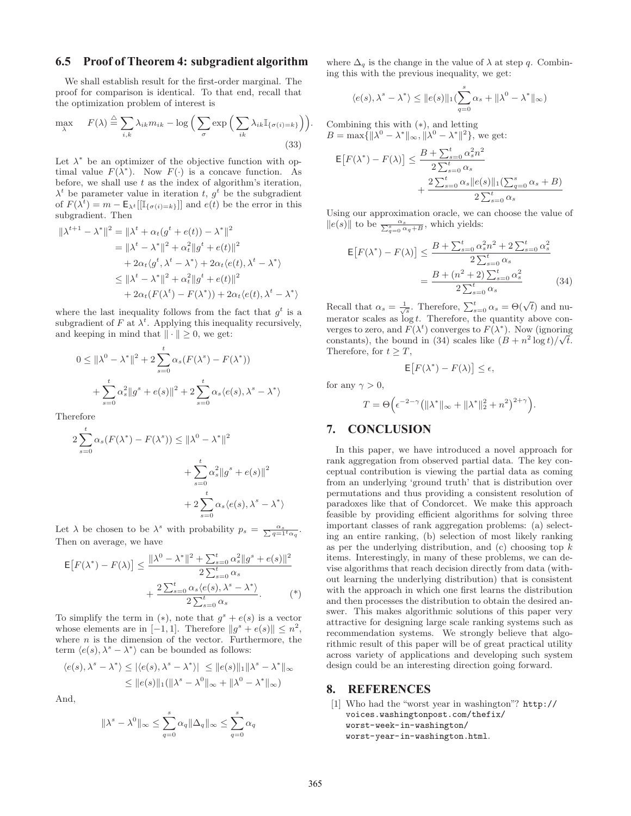### **6.5 Proof of Theorem 4: subgradient algorithm**

We shall establish result for the first-order marginal. The proof for comparison is identical. To that end, recall that the optimization problem of interest is

$$
\max_{\lambda} \qquad F(\lambda) \stackrel{\triangle}{=} \sum_{i,k} \lambda_{ik} m_{ik} - \log \Big( \sum_{\sigma} \exp \Big( \sum_{ik} \lambda_{ik} \mathbb{I}_{\{\sigma(i) = k\}} \Big) \Big). \tag{33}
$$

Let  $\lambda^*$  be an optimizer of the objective function with optimal value  $F(\lambda^*)$ . Now  $F(\cdot)$  is a concave function. As before, we shall use  $t$  as the index of algorithm's iteration,  $\lambda^t$  be parameter value in iteration t,  $g^t$  be the subgradient of  $F(\lambda^t) = m - \mathsf{E}_{\lambda^t}[[\mathbb{I}_{\{\sigma(i)=k\}}]]$  and  $e(t)$  be the error in this subgradient. Then

$$
\|\lambda^{t+1} - \lambda^*\|^2 = \|\lambda^t + \alpha_t(g^t + e(t)) - \lambda^*\|^2
$$
  
\n
$$
= \|\lambda^t - \lambda^*\|^2 + \alpha_t^2 \|g^t + e(t)\|^2
$$
  
\n
$$
+ 2\alpha_t \langle g^t, \lambda^t - \lambda^* \rangle + 2\alpha_t \langle e(t), \lambda^t - \lambda^* \rangle
$$
  
\n
$$
\leq \|\lambda^t - \lambda^*\|^2 + \alpha_t^2 \|g^t + e(t)\|^2
$$
  
\n
$$
+ 2\alpha_t (F(\lambda^t) - F(\lambda^*)) + 2\alpha_t \langle e(t), \lambda^t - \lambda^* \rangle
$$

where the last inequality follows from the fact that  $g^t$  is a subgradient of F at  $\lambda^t$ . Applying this inequality recursively,<br>and keeping in mind that  $|| \cdot || > 0$ , we get and keeping in mind that  $\|\cdot\| \geq 0$ , we get:

$$
0 \le ||\lambda^{0} - \lambda^{*}||^{2} + 2 \sum_{s=0}^{t} \alpha_{s} (F(\lambda^{s}) - F(\lambda^{*}))
$$
  
+ 
$$
\sum_{s=0}^{t} \alpha_{s}^{2} ||g^{s} + e(s)||^{2} + 2 \sum_{s=0}^{t} \alpha_{s} \langle e(s), \lambda^{s} - \lambda^{*} \rangle
$$

Therefore

$$
2\sum_{s=0}^{t} \alpha_s (F(\lambda^*) - F(\lambda^s)) \le ||\lambda^0 - \lambda^*||^2
$$
  
+ 
$$
\sum_{s=0}^{t} \alpha_s^2 ||g^s + e(s)||^2
$$
  
+ 
$$
2\sum_{s=0}^{t} \alpha_s \langle e(s), \lambda^s - \lambda^* \rangle
$$

Let  $\lambda$  be chosen to be  $\lambda^s$  with probability  $p_s = \frac{\alpha_s}{\sum q = 1^t \alpha_q}$ . Then on average, we have

$$
\mathsf{E}\big[F(\lambda^*) - F(\lambda)\big] \le \frac{\|\lambda^0 - \lambda^*\|^2 + \sum_{s=0}^t \alpha_s^2 \|g^s + e(s)\|^2}{2\sum_{s=0}^t \alpha_s} + \frac{2\sum_{s=0}^t \alpha_s \langle e(s), \lambda^s - \lambda^* \rangle}{2\sum_{s=0}^t \alpha_s} \tag{*}
$$

To simplify the term in (\*), note that  $g^s + e(s)$  is a vector whose elements are in [-1, 1]. Therefore  $||g^s + e(s)|| \leq n^2$ , where  $n$  is the dimension of the vector. Furthermore, the term  $\langle e(s), \lambda^s - \lambda^* \rangle$  can be bounded as follows:

$$
\langle e(s), \lambda^s - \lambda^* \rangle \leq |\langle e(s), \lambda^s - \lambda^* \rangle| \leq ||e(s)||_1 ||\lambda^s - \lambda^*||_{\infty}
$$
  

$$
\leq ||e(s)||_1 (||\lambda^s - \lambda^0||_{\infty} + ||\lambda^0 - \lambda^*||_{\infty})
$$

And,

$$
\|\lambda^s - \lambda^0\|_{\infty} \le \sum_{q=0}^s \alpha_q \|\Delta_q\|_{\infty} \le \sum_{q=0}^s \alpha_q
$$

where  $\Delta_q$  is the change in the value of  $\lambda$  at step q. Combining this with the previous inequality, we get:

$$
\langle e(s), \lambda^s - \lambda^* \rangle \le ||e(s)||_1 \left( \sum_{q=0}^s \alpha_s + ||\lambda^0 - \lambda^*||_{\infty} \right)
$$

Combining this with (∗), and letting  $B = \max{\{\|\lambda^0 - \lambda^*\|_{\infty}, \|\lambda^0 - \lambda^*\|^2\}}$ , we get:

$$
\mathsf{E}\big[F(\lambda^*) - F(\lambda)\big] \le \frac{B + \sum_{s=0}^t \alpha_s^2 n^2}{2 \sum_{s=0}^t \alpha_s} + \frac{2 \sum_{s=0}^t \alpha_s \|e(s)\|_1 (\sum_{q=0}^s \alpha_s + B)}{2 \sum_{s=0}^t \alpha_s}
$$

Using our approximation oracle, we can choose the value of  $||e(s)||$  to be  $\frac{\alpha_s}{\sum_{q=0}^s \alpha_q + B}$ , which yields:

$$
\mathsf{E}\big[F(\lambda^*) - F(\lambda)\big] \le \frac{B + \sum_{s=0}^t \alpha_s^2 n^2 + 2 \sum_{s=0}^t \alpha_s^2}{2 \sum_{s=0}^t \alpha_s}
$$

$$
= \frac{B + (n^2 + 2) \sum_{s=0}^t \alpha_s^2}{2 \sum_{s=0}^t \alpha_s}
$$
(34)

Recall that  $\alpha_s = \frac{1}{\sqrt{s}}$ . Therefore,  $\sum_{s=0}^{t} \alpha_s = \Theta(\sqrt{t})$  and nu-<br>mentor scales as log t. Therefore, the suggestive above son merator scales as  $\log t$ . Therefore, the quantity above con-<br>verges to zero, and  $F(\lambda^t)$  converges to  $F(\lambda^*)$ . Now (ignoring verges to zero, and  $F(\lambda^t)$  converges to  $F(\lambda^*)$ . Now (ignoring constants), the bound in (34) scales like  $(B + n^2 \log t)/\sqrt{t}$ constants), the bound in (34) scales like  $(B + n^2 \log t)/\sqrt{t}$ .<br>Therefore for  $t > T$ Therefore, for  $t \geq T$ ,

$$
\mathsf{E}\big[F(\lambda^*) - F(\lambda)\big] \leq \epsilon,
$$

for any  $\gamma > 0$ ,

$$
T = \Theta\Big(\epsilon^{-2-\gamma}\big(\|\lambda^*\|_\infty + \|\lambda^*\|_2^2 + n^2\big)^{2+\gamma}\Big).
$$

## **7. CONCLUSION**

In this paper, we have introduced a novel approach for rank aggregation from observed partial data. The key conceptual contribution is viewing the partial data as coming from an underlying 'ground truth' that is distribution over permutations and thus providing a consistent resolution of paradoxes like that of Condorcet. We make this approach feasible by providing efficient algorithms for solving three important classes of rank aggregation problems: (a) selecting an entire ranking, (b) selection of most likely ranking as per the underlying distribution, and  $(c)$  choosing top  $k$ items. Interestingly, in many of these problems, we can devise algorithms that reach decision directly from data (without learning the underlying distribution) that is consistent with the approach in which one first learns the distribution and then processes the distribution to obtain the desired answer. This makes algorithmic solutions of this paper very attractive for designing large scale ranking systems such as recommendation systems. We strongly believe that algorithmic result of this paper will be of great practical utility across variety of applications and developing such system design could be an interesting direction going forward.

## **8. REFERENCES**

[1] Who had the "worst year in washington"? http:// voices.washingtonpost.com/thefix/ worst-week-in-washington/ worst-year-in-washington.html.